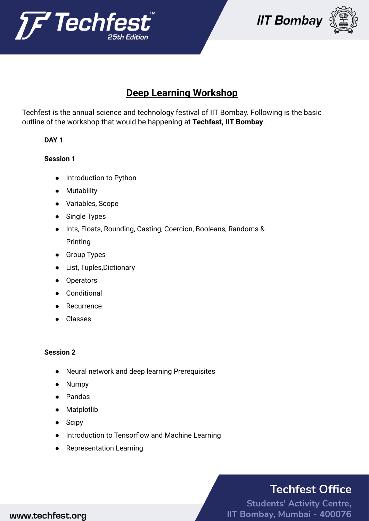





## **Deep Learning Workshop**

Techfest is the annual science and technology festival of IIT Bombay. Following is the basic outline of the workshop that would be happening at **Techfest, IIT Bombay**.

### **DAY 1**

#### **Session 1**

- Introduction to Python
- Mutability
- Variables, Scope
- Single Types
- Ints, Floats, Rounding, Casting, Coercion, Booleans, Randoms & Printing
- Group Types
- List, Tuples,Dictionary
- Operators
- **Conditional**
- Recurrence
- Classes

#### **Session 2**

- Neural network and deep learning Prerequisites
- **Numpy**
- Pandas
- Matplotlib
- Scipy
- Introduction to Tensorflow and Machine Learning
- Representation Learning

# **Techfest Office**

**Students' Activity Centre,** IIT Bombay, Mumbai - 400076

### www.techfest.org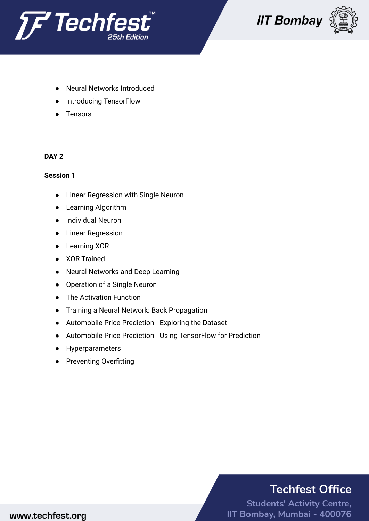





- **Neural Networks Introduced**
- Introducing TensorFlow
- Tensors

#### **DAY 2**

#### **Session 1**

- Linear Regression with Single Neuron
- Learning Algorithm
- Individual Neuron
- Linear Regression
- Learning XOR
- XOR Trained
- Neural Networks and Deep Learning
- Operation of a Single Neuron
- The Activation Function
- Training a Neural Network: Back Propagation
- Automobile Price Prediction Exploring the Dataset
- Automobile Price Prediction Using TensorFlow for Prediction
- Hyperparameters
- Preventing Overfitting

# **Techfest Office**

**Students' Activity Centre,** IIT Bombay, Mumbai - 400076